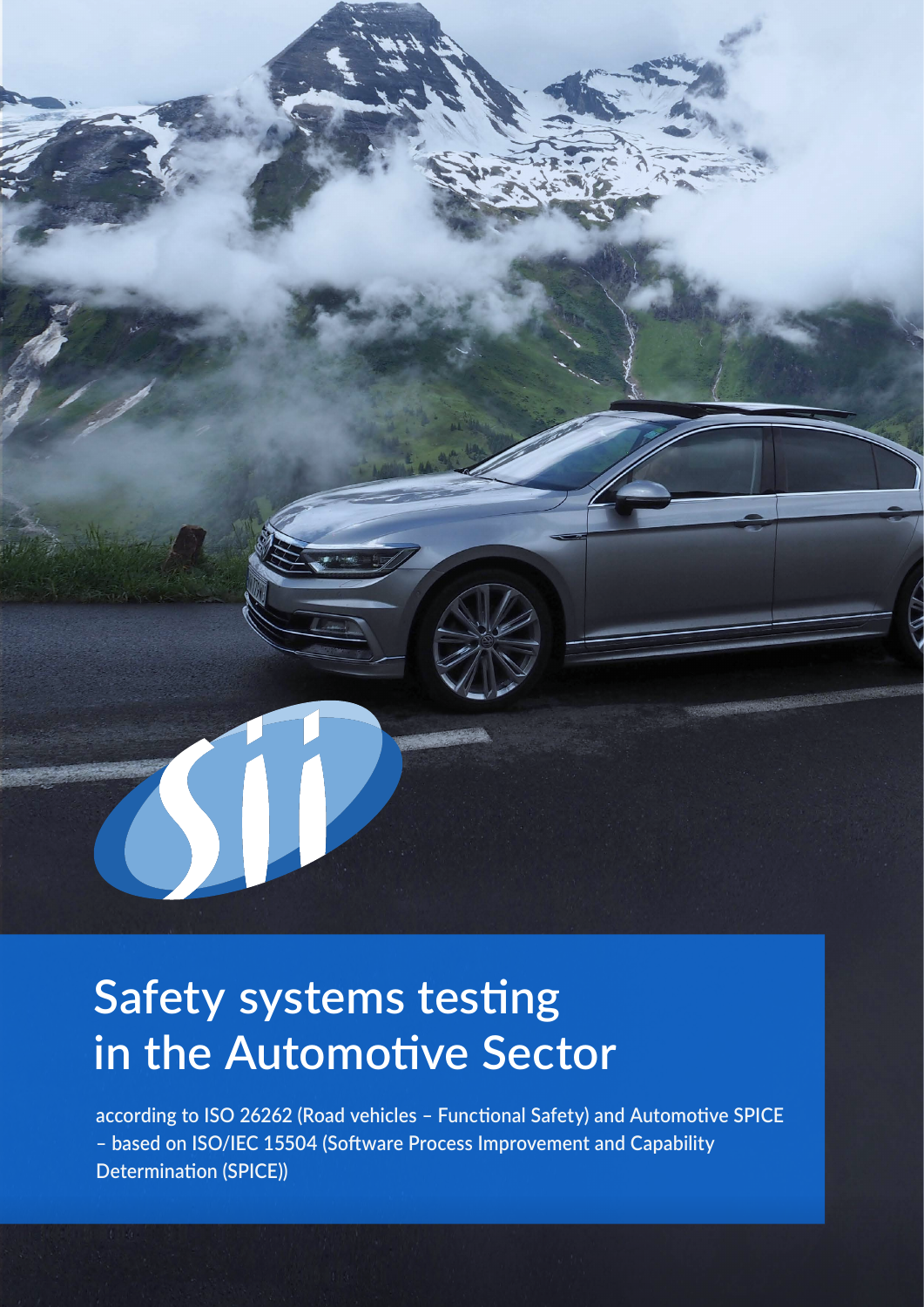

# **Safety systems testing in the Automotive Sector**

**according to ISO 26262 (Road vehicles – Functional Safety) and Automotive SPICE – based on ISO/IEC 15504 (Software Process Improvement and Capability Determination (SPICE))**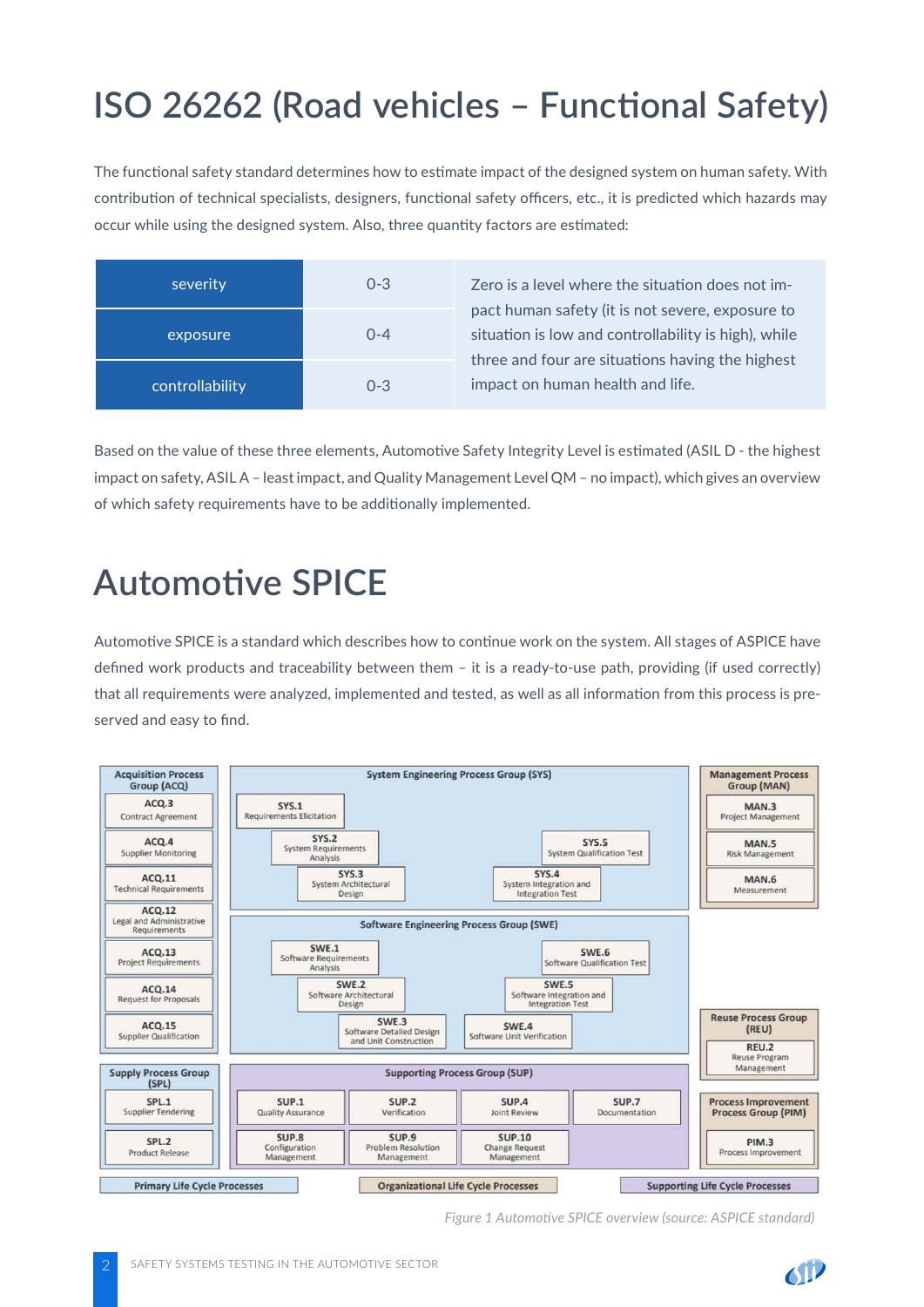## **ISO 26262 (Road vehicles – Functional Safety)**

The functional safety standard determines how to estimate impact of the designed system on human safety. With contribution of technical specialists, designers, functional safety officers, etc., it is predicted which hazards may occur while using the designed system. Also, three quantity factors are estimated:

| severity        | $0 - 3$ |
|-----------------|---------|
| exposure        | $0 - 4$ |
| controllability | $0 - 3$ |

Zero is a level where the situation does not impact human safety (it is not severe, exposure to situation is low and controllability is high), while three and four are situations having the highest impact on human health and life.

Based on the value of these three elements, Automotive Safety Integrity Level is estimated (ASIL D - the highest impact on safety, ASIL A – least impact, and Quality Management Level QM – no impact), which gives an overview of which safety requirements have to be additionally implemented.

### **Automotive SPICE**

Automotive SPICE is a standard which describes how to continue work on the system. All stages of ASPICE have defined work products and traceability between them – it is a ready-to-use path, providing (if used correctly) that all requirements were analyzed, implemented and tested, as well as all information from this process is preserved and easy to find.



*Figure 1 Automotive SPICE overview (source: ASPICE standard)*

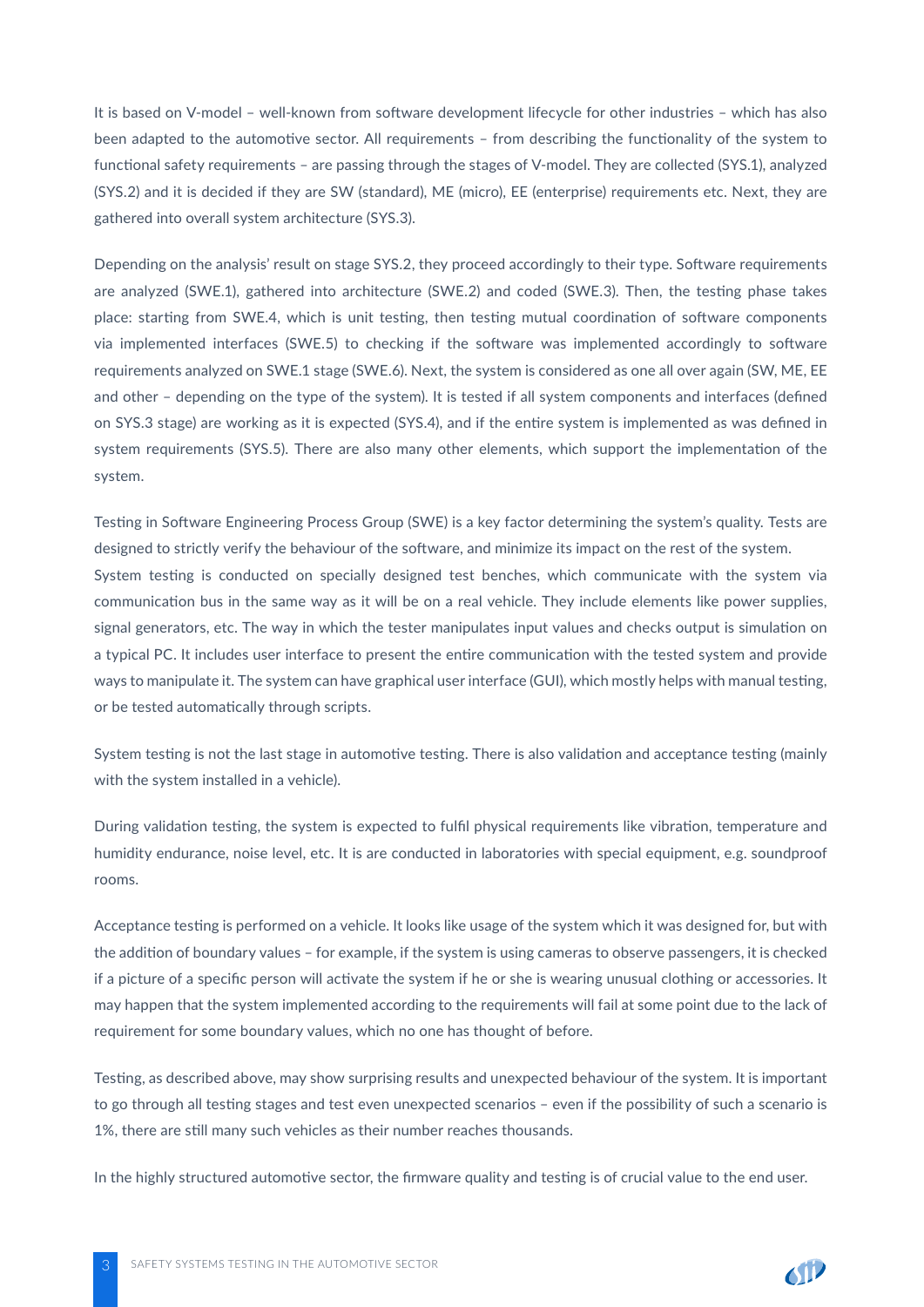It is based on V-model – well-known from software development lifecycle for other industries – which has also been adapted to the automotive sector. All requirements – from describing the functionality of the system to functional safety requirements – are passing through the stages of V-model. They are collected (SYS.1), analyzed (SYS.2) and it is decided if they are SW (standard), ME (micro), EE (enterprise) requirements etc. Next, they are gathered into overall system architecture (SYS.3).

Depending on the analysis' result on stage SYS.2, they proceed accordingly to their type. Software requirements are analyzed (SWE.1), gathered into architecture (SWE.2) and coded (SWE.3). Then, the testing phase takes place: starting from SWE.4, which is unit testing, then testing mutual coordination of software components via implemented interfaces (SWE.5) to checking if the software was implemented accordingly to software requirements analyzed on SWE.1 stage (SWE.6). Next, the system is considered as one all over again (SW, ME, EE and other – depending on the type of the system). It is tested if all system components and interfaces (defined on SYS.3 stage) are working as it is expected (SYS.4), and if the entire system is implemented as was defined in system requirements (SYS.5). There are also many other elements, which support the implementation of the system.

Testing in Software Engineering Process Group (SWE) is a key factor determining the system's quality. Tests are designed to strictly verify the behaviour of the software, and minimize its impact on the rest of the system. System testing is conducted on specially designed test benches, which communicate with the system via communication bus in the same way as it will be on a real vehicle. They include elements like power supplies, signal generators, etc. The way in which the tester manipulates input values and checks output is simulation on a typical PC. It includes user interface to present the entire communication with the tested system and provide ways to manipulate it. The system can have graphical user interface (GUI), which mostly helps with manual testing, or be tested automatically through scripts.

System testing is not the last stage in automotive testing. There is also validation and acceptance testing (mainly with the system installed in a vehicle).

During validation testing, the system is expected to fulfil physical requirements like vibration, temperature and humidity endurance, noise level, etc. It is are conducted in laboratories with special equipment, e.g. soundproof rooms.

Acceptance testing is performed on a vehicle. It looks like usage of the system which it was designed for, but with the addition of boundary values – for example, if the system is using cameras to observe passengers, it is checked if a picture of a specific person will activate the system if he or she is wearing unusual clothing or accessories. It may happen that the system implemented according to the requirements will fail at some point due to the lack of requirement for some boundary values, which no one has thought of before.

Testing, as described above, may show surprising results and unexpected behaviour of the system. It is important to go through all testing stages and test even unexpected scenarios – even if the possibility of such a scenario is 1%, there are still many such vehicles as their number reaches thousands.

In the highly structured automotive sector, the firmware quality and testing is of crucial value to the end user.